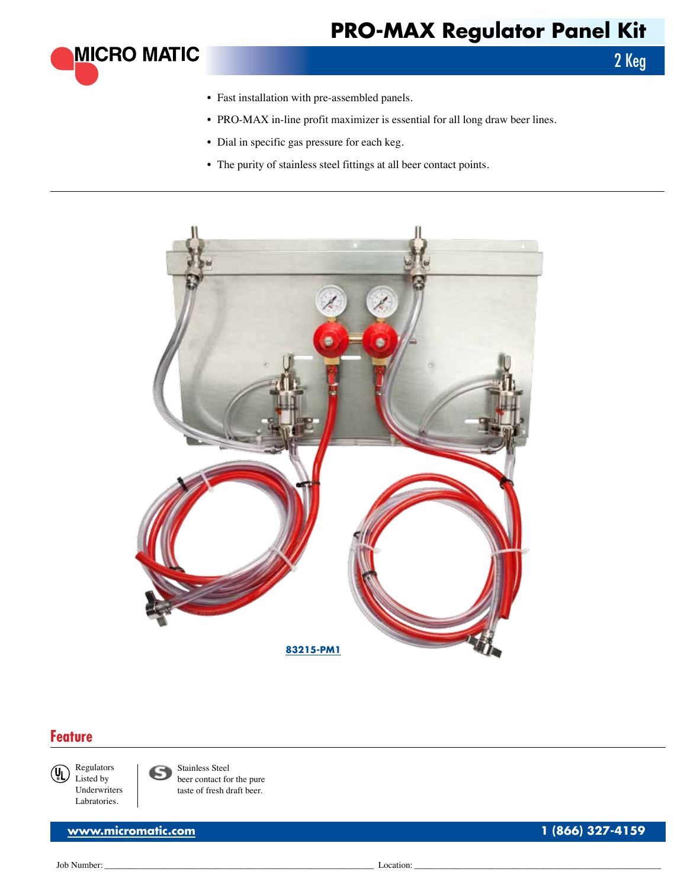## **PRO-MAX Regulator Panel Kit**



- Fast installation with pre-assembled panels.
- PRO-MAX in-line profit maximizer is essential for all long draw beer lines.
- • Dial in specific gas pressure for each keg.
- The purity of stainless steel fittings at all beer contact points.



## **Feature**

Regulators  $(U<sub>1</sub>)$ Listed by Underwriters Labratories.